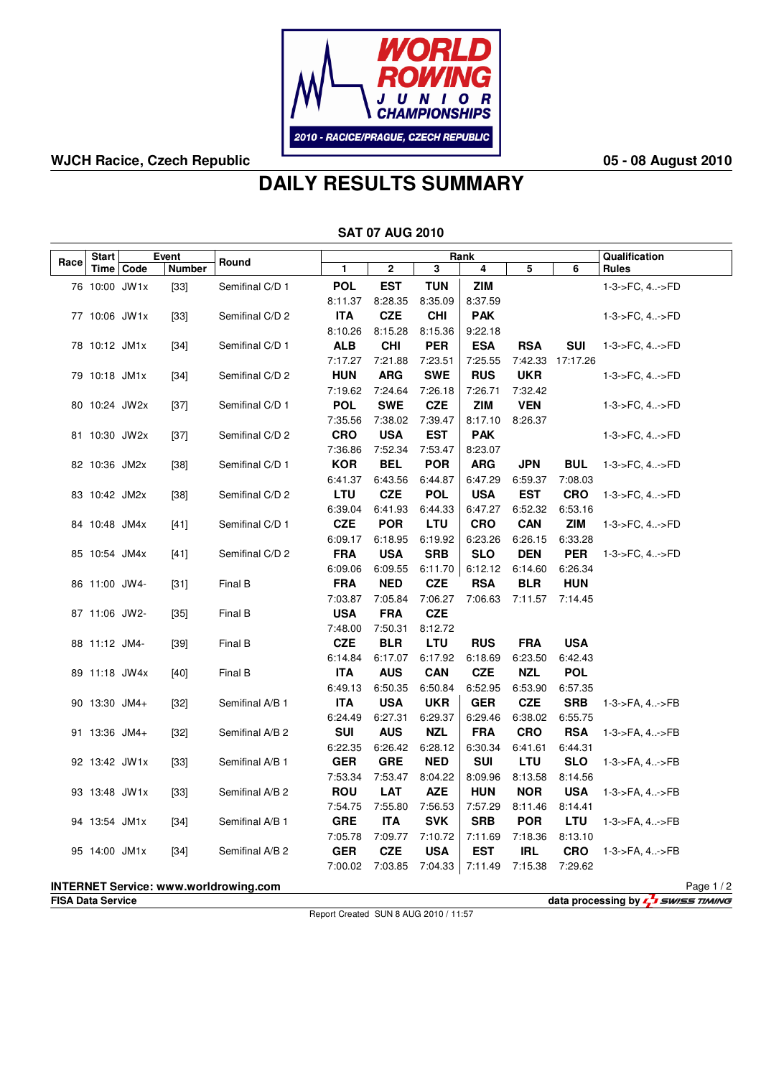

### **WJCH Racice, Czech Republic 05 - 08 August 2010**

# **DAILY RESULTS SUMMARY**

| <b>SAT 07 AUG 2010</b> |               |             |               |                                              |                       |                       |                       |                       |                       |                               |                               |          |
|------------------------|---------------|-------------|---------------|----------------------------------------------|-----------------------|-----------------------|-----------------------|-----------------------|-----------------------|-------------------------------|-------------------------------|----------|
| Start<br>Event         |               |             |               |                                              |                       | Rank                  |                       |                       |                       |                               |                               |          |
| Race                   |               | Time   Code | <b>Number</b> | Round                                        | 1                     | 2                     | 3                     | 4                     | 5                     | 6                             | Qualification<br><b>Rules</b> |          |
|                        | 76 10:00 JW1x |             | $[33]$        | Semifinal C/D 1                              | <b>POL</b>            | <b>EST</b>            | <b>TUN</b>            | <b>ZIM</b>            |                       |                               | 1-3->FC, 4->FD                |          |
|                        |               |             |               |                                              | 8:11.37               | 8:28.35               | 8:35.09               | 8:37.59               |                       |                               |                               |          |
|                        | 77 10:06 JW1x |             | $[33]$        | Semifinal C/D 2                              | <b>ITA</b>            | <b>CZE</b>            | <b>CHI</b>            | <b>PAK</b>            |                       |                               | 1-3->FC, 4->FD                |          |
|                        |               |             |               |                                              | 8:10.26               | 8:15.28               | 8:15.36               | 9:22.18               |                       |                               |                               |          |
|                        | 78 10:12 JM1x |             | $[34]$        | Semifinal C/D 1                              | <b>ALB</b>            | <b>CHI</b>            | <b>PER</b>            | <b>ESA</b>            | <b>RSA</b>            | <b>SUI</b>                    | 1-3->FC, 4->FD                |          |
|                        |               |             |               |                                              | 7:17.27               | 7:21.88               | 7:23.51               | 7:25.55               |                       | 7:42.33 17:17.26              |                               |          |
|                        | 79 10:18 JM1x |             | $[34]$        | Semifinal C/D 2                              | <b>HUN</b>            | <b>ARG</b>            | <b>SWE</b>            | <b>RUS</b>            | <b>UKR</b>            |                               | 1-3->FC, 4->FD                |          |
|                        |               |             |               |                                              | 7:19.62               | 7:24.64               | 7:26.18               | 7:26.71               | 7:32.42               |                               |                               |          |
|                        | 80 10:24 JW2x |             | $[37]$        | Semifinal C/D 1                              | <b>POL</b>            | <b>SWE</b>            | <b>CZE</b>            | <b>ZIM</b>            | <b>VEN</b>            |                               | 1-3->FC, 4->FD                |          |
|                        |               |             |               |                                              | 7:35.56               | 7:38.02               | 7:39.47               | 8:17.10               | 8:26.37               |                               |                               |          |
|                        | 81 10:30 JW2x |             | $[37]$        | Semifinal C/D 2                              | <b>CRO</b>            | <b>USA</b>            | <b>EST</b>            | <b>PAK</b>            |                       |                               | 1-3->FC, 4->FD                |          |
|                        |               |             |               |                                              | 7:36.86               | 7:52.34               | 7:53.47               | 8:23.07               |                       |                               |                               |          |
|                        | 82 10:36 JM2x |             | $[38]$        | Semifinal C/D 1                              | <b>KOR</b>            | <b>BEL</b>            | <b>POR</b>            | <b>ARG</b>            | <b>JPN</b>            | <b>BUL</b>                    | 1-3->FC, 4->FD                |          |
|                        |               |             |               |                                              | 6:41.37               | 6:43.56               | 6:44.87               | 6:47.29               | 6:59.37               | 7:08.03                       |                               |          |
|                        | 83 10:42 JM2x |             | $[38]$        | Semifinal C/D 2                              | <b>LTU</b>            | <b>CZE</b>            | <b>POL</b>            | <b>USA</b>            | <b>EST</b>            | <b>CRO</b>                    | 1-3->FC, 4->FD                |          |
|                        |               |             |               |                                              | 6:39.04               | 6:41.93               | 6:44.33               | 6:47.27               | 6:52.32               | 6:53.16                       |                               |          |
|                        | 84 10:48 JM4x |             | $[41]$        | Semifinal C/D 1                              | <b>CZE</b>            | <b>POR</b>            | <b>LTU</b>            | <b>CRO</b>            | <b>CAN</b>            | ZIM                           | 1-3->FC, 4->FD                |          |
|                        |               |             |               |                                              | 6:09.17               | 6:18.95               | 6:19.92               | 6:23.26               | 6:26.15               | 6:33.28                       |                               |          |
|                        | 85 10:54 JM4x |             | $[41]$        | Semifinal C/D 2                              | <b>FRA</b>            | <b>USA</b>            | <b>SRB</b>            | <b>SLO</b>            | <b>DEN</b>            | <b>PER</b>                    | 1-3->FC, 4->FD                |          |
|                        |               |             |               |                                              | 6:09.06               | 6:09.55               | 6:11.70               | 6:12.12               | 6:14.60               | 6:26.34                       |                               |          |
|                        | 86 11:00 JW4- |             | $[31]$        | Final B                                      | <b>FRA</b>            | <b>NED</b>            | <b>CZE</b>            | <b>RSA</b>            | <b>BLR</b>            | <b>HUN</b>                    |                               |          |
|                        |               |             |               |                                              | 7:03.87               | 7:05.84               | 7:06.27               | 7:06.63               | 7:11.57               | 7:14.45                       |                               |          |
|                        | 87 11:06 JW2- |             | $[35]$        | Final B                                      | <b>USA</b>            | <b>FRA</b>            | <b>CZE</b>            |                       |                       |                               |                               |          |
|                        |               |             |               |                                              | 7:48.00               | 7:50.31               | 8:12.72               |                       |                       |                               |                               |          |
|                        | 88 11:12 JM4- |             | $[39]$        | Final B                                      | <b>CZE</b>            | <b>BLR</b>            | <b>LTU</b>            | <b>RUS</b>            | <b>FRA</b>            | <b>USA</b>                    |                               |          |
|                        |               |             |               |                                              | 6:14.84               | 6:17.07               | 6:17.92               | 6:18.69               | 6:23.50               | 6:42.43                       |                               |          |
|                        | 89 11:18 JW4x |             | $[40]$        | Final B                                      | <b>ITA</b>            | <b>AUS</b>            | <b>CAN</b>            | <b>CZE</b>            | <b>NZL</b>            | <b>POL</b>                    |                               |          |
|                        |               |             |               |                                              | 6:49.13               | 6:50.35               | 6:50.84               | 6:52.95               | 6:53.90               | 6:57.35                       |                               |          |
|                        | 90 13:30 JM4+ |             | $[32]$        | Semifinal A/B 1                              | <b>ITA</b>            | <b>USA</b>            | <b>UKR</b>            | <b>GER</b>            | <b>CZE</b>            | <b>SRB</b>                    | 1-3->FA, 4->FB                |          |
|                        | 91 13:36 JM4+ |             |               |                                              | 6:24.49<br><b>SUI</b> | 6:27.31<br><b>AUS</b> | 6:29.37               | 6:29.46<br><b>FRA</b> | 6:38.02               | 6:55.75                       |                               |          |
|                        |               |             | $[32]$        | Semifinal A/B 2                              |                       |                       | <b>NZL</b>            | 6:30.34               | <b>CRO</b>            | <b>RSA</b><br>6:44.31         | 1-3->FA, 4->FB                |          |
|                        |               |             |               | Semifinal A/B 1                              | 6:22.35<br><b>GER</b> | 6:26.42<br><b>GRE</b> | 6:28.12<br><b>NED</b> | <b>SUI</b>            | 6:41.61<br><b>LTU</b> | <b>SLO</b>                    |                               |          |
|                        | 92 13:42 JW1x |             | $[33]$        |                                              | 7:53.34               | 7:53.47               | 8:04.22               | 8:09.96               | 8:13.58               | 8:14.56                       | 1-3->FA, 4->FB                |          |
|                        | 93 13:48 JW1x |             |               | Semifinal A/B 2                              | <b>ROU</b>            | LAT                   | <b>AZE</b>            | <b>HUN</b>            | <b>NOR</b>            |                               | <b>USA</b> $1-3-5FA, 4>FB$    |          |
|                        |               |             | $[33]$        |                                              | 7:54.75               | 7:55.80               | 7:56.53               | 7:57.29               |                       |                               |                               |          |
|                        | 94 13:54 JM1x |             | $[34]$        | Semifinal A/B 1                              | <b>GRE</b>            | <b>ITA</b>            | <b>SVK</b>            | <b>SRB</b>            | <b>POR</b>            | 8:11.46 8:14.41<br><b>LTU</b> | 1-3->FA, 4->FB                |          |
|                        |               |             |               |                                              | 7:05.78               | 7:09.77               | 7:10.72               | 7:11.69               | 7:18.36               | 8:13.10                       |                               |          |
|                        | 95 14:00 JM1x |             | $[34]$        | Semifinal A/B 2                              | <b>GER</b>            | <b>CZE</b>            | <b>USA</b>            | <b>EST</b>            | <b>IRL</b>            | <b>CRO</b>                    | 1-3->FA, 4->FB                |          |
|                        |               |             |               |                                              | 7:00.02               | 7:03.85               | 7:04.33               | 7:11.49               | 7:15.38               | 7:29.62                       |                               |          |
|                        |               |             |               |                                              |                       |                       |                       |                       |                       |                               |                               |          |
|                        |               |             |               | <b>INTERNET Service: www.worldrowing.com</b> |                       |                       |                       |                       |                       |                               |                               | Page 1/2 |

**FISA Data Service data processing by** 

Report Created SUN 8 AUG 2010 / 11:57